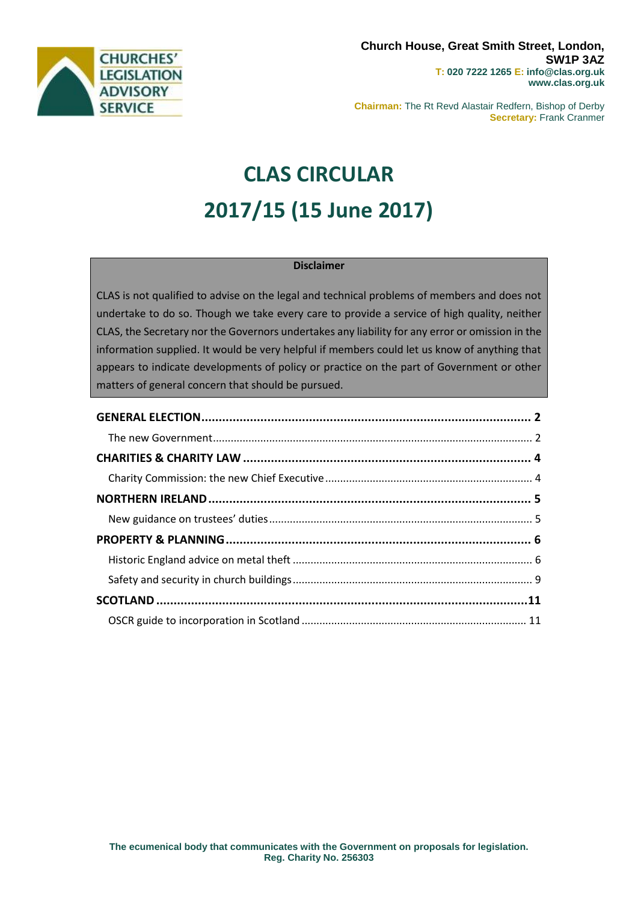

**Chairman:** The Rt Revd Alastair Redfern, Bishop of Derby **Secretary:** Frank Cranmer

# **CLAS CIRCULAR 2017/15 (15 June 2017)**

## **Disclaimer**

CLAS is not qualified to advise on the legal and technical problems of members and does not undertake to do so. Though we take every care to provide a service of high quality, neither CLAS, the Secretary nor the Governors undertakes any liability for any error or omission in the information supplied. It would be very helpful if members could let us know of anything that appears to indicate developments of policy or practice on the part of Government or other matters of general concern that should be pursued.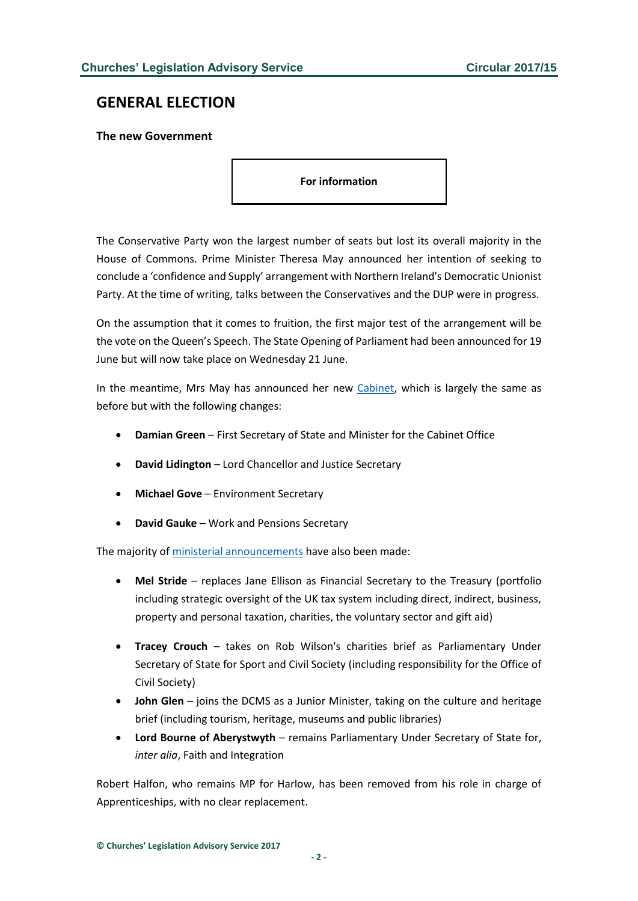# <span id="page-1-0"></span>**GENERAL ELECTION**

<span id="page-1-1"></span>**The new Government**

**For information**

The Conservative Party won the largest number of seats but lost its overall majority in the House of Commons. Prime Minister Theresa May announced her intention of seeking to conclude a 'confidence and Supply' arrangement with Northern Ireland's Democratic Unionist Party. At the time of writing, talks between the Conservatives and the DUP were in progress.

On the assumption that it comes to fruition, the first major test of the arrangement will be the vote on the Queen's Speech. The State Opening of Parliament had been announced for 19 June but will now take place on Wednesday 21 June.

In the meantime, Mrs May has announced her new [Cabinet,](http://www.parliament.uk/mps-lords-and-offices/government-and-opposition1/her-majestys-government/) which is largely the same as before but with the following changes:

- **Damian Green** First Secretary of State and Minister for the Cabinet Office
- **David Lidington** Lord Chancellor and Justice Secretary
- **Michael Gove** Environment Secretary
- **David Gauke** Work and Pensions Secretary

The majority o[f ministerial announcements](http://www.gov.uk/government/ministers) have also been made:

- **Mel Stride** replaces Jane Ellison as Financial Secretary to the Treasury (portfolio including strategic oversight of the UK tax system including direct, indirect, business, property and personal taxation, charities, the voluntary sector and gift aid)
- **Tracey Crouch**  takes on Rob Wilson's charities brief as Parliamentary Under Secretary of State for Sport and Civil Society (including responsibility for the Office of Civil Society)
- **John Glen** joins the DCMS as a Junior Minister, taking on the culture and heritage brief (including tourism, heritage, museums and public libraries)
- **Lord Bourne of Aberystwyth** remains Parliamentary Under Secretary of State for, *inter alia*, Faith and Integration

Robert Halfon, who remains MP for Harlow, has been removed from his role in charge of Apprenticeships, with no clear replacement.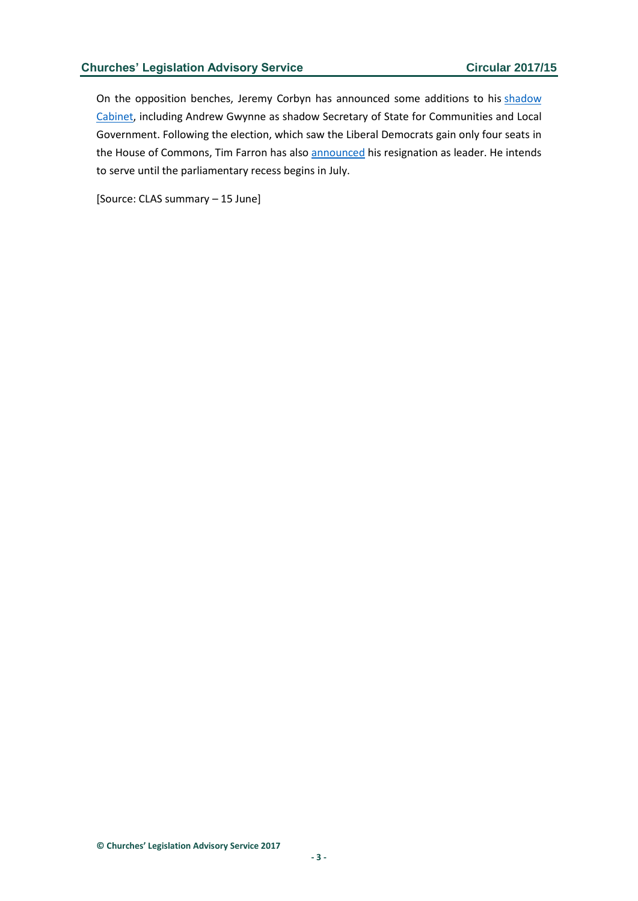On the opposition benches, Jeremy Corbyn has announced some additions to his shadow [Cabinet,](http://www.labour.org.uk/people/filter/c/shadow-cabinet) including Andrew Gwynne as shadow Secretary of State for Communities and Local Government. Following the election, which saw the Liberal Democrats gain only four seats in the House of Commons, Tim Farron has also [announced](http://www.libdems.org.uk/liberal-democrat-leader-tim-farron-resigns) his resignation as leader. He intends to serve until the parliamentary recess begins in July.

[Source: CLAS summary – 15 June]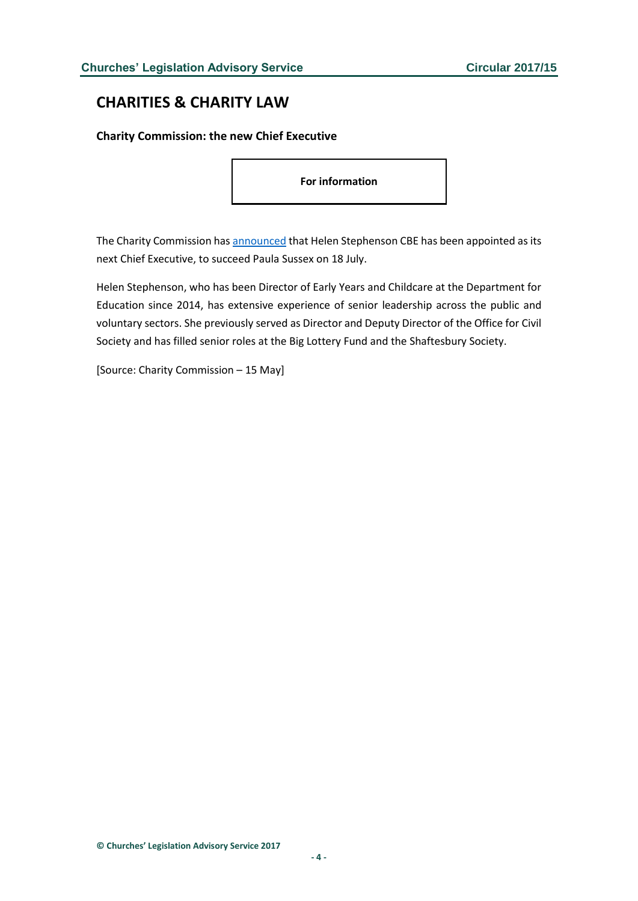# <span id="page-3-0"></span>**CHARITIES & CHARITY LAW**

## <span id="page-3-1"></span>**Charity Commission: the new Chief Executive**

**For information**

The Charity Commission has [announced](https://www.gov.uk/government/news/helen-stephenson-cbe-will-be-the-next-chief-executive-of-the-charity-commission) that Helen Stephenson CBE has been appointed as its next Chief Executive, to succeed Paula Sussex on 18 July.

Helen Stephenson, who has been Director of Early Years and Childcare at the Department for Education since 2014, has extensive experience of senior leadership across the public and voluntary sectors. She previously served as Director and Deputy Director of the Office for Civil Society and has filled senior roles at the Big Lottery Fund and the Shaftesbury Society.

[Source: Charity Commission – 15 May]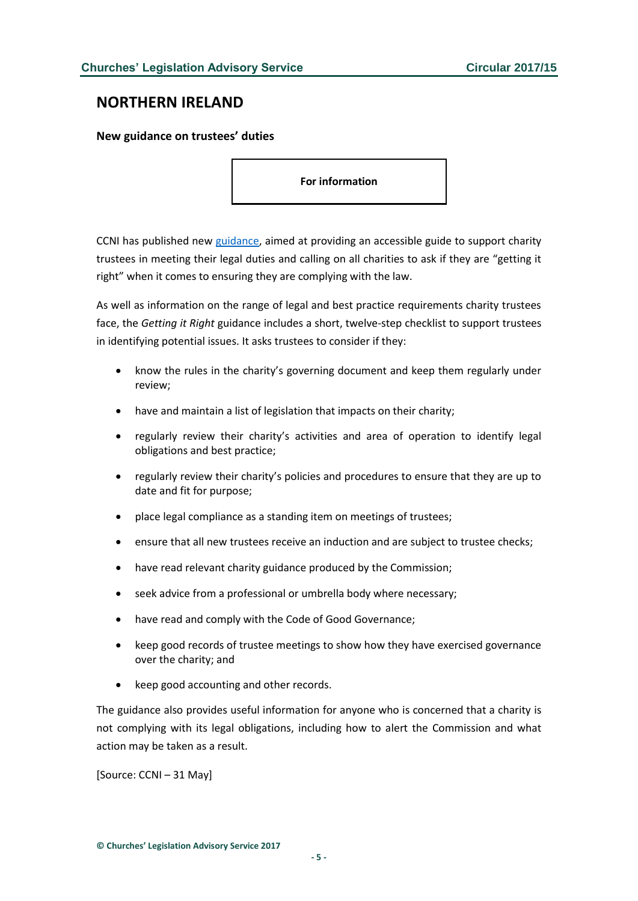# <span id="page-4-0"></span>**NORTHERN IRELAND**

<span id="page-4-1"></span>**New guidance on trustees' duties**

**For information**

CCNI has published new [guidance,](http://www.charitycommissionni.org.uk/media/137918/20170522-CCNI-EG042-Monitoring-and-compliance-guidance-getting-it-right-V1-2-May-2017.pdf) aimed at providing an accessible guide to support charity trustees in meeting their legal duties and calling on all charities to ask if they are "getting it right" when it comes to ensuring they are complying with the law.

As well as information on the range of legal and best practice requirements charity trustees face, the *Getting it Right* guidance includes a short, twelve-step checklist to support trustees in identifying potential issues. It asks trustees to consider if they:

- know the rules in the charity's governing document and keep them regularly under review;
- have and maintain a list of legislation that impacts on their charity;
- regularly review their charity's activities and area of operation to identify legal obligations and best practice;
- regularly review their charity's policies and procedures to ensure that they are up to date and fit for purpose;
- place legal compliance as a standing item on meetings of trustees;
- ensure that all new trustees receive an induction and are subject to trustee checks;
- have read relevant charity guidance produced by the Commission;
- seek advice from a professional or umbrella body where necessary;
- have read and comply with the Code of Good Governance;
- keep good records of trustee meetings to show how they have exercised governance over the charity; and
- keep good accounting and other records.

The guidance also provides useful information for anyone who is concerned that a charity is not complying with its legal obligations, including how to alert the Commission and what action may be taken as a result.

[Source: CCNI – 31 May]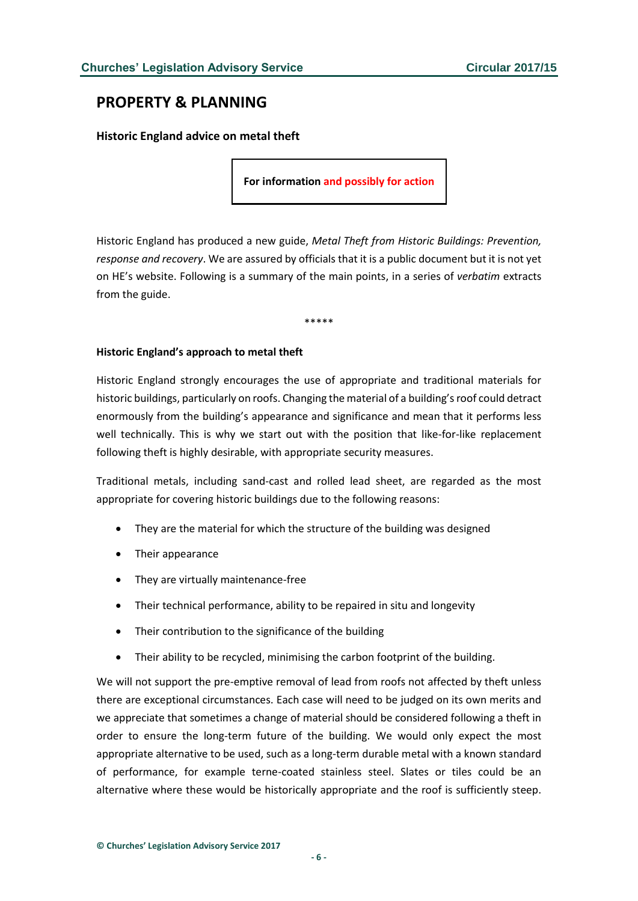# <span id="page-5-0"></span>**PROPERTY & PLANNING**

## <span id="page-5-1"></span>**Historic England advice on metal theft**

**For information and possibly for action**

Historic England has produced a new guide, *Metal Theft from Historic Buildings: Prevention, response and recovery*. We are assured by officials that it is a public document but it is not yet on HE's website. Following is a summary of the main points, in a series of *verbatim* extracts from the guide.

\*\*\*\*\*

### **Historic England's approach to metal theft**

Historic England strongly encourages the use of appropriate and traditional materials for historic buildings, particularly on roofs. Changing the material of a building's roof could detract enormously from the building's appearance and significance and mean that it performs less well technically. This is why we start out with the position that like-for-like replacement following theft is highly desirable, with appropriate security measures.

Traditional metals, including sand-cast and rolled lead sheet, are regarded as the most appropriate for covering historic buildings due to the following reasons:

- They are the material for which the structure of the building was designed
- Their appearance
- They are virtually maintenance-free
- Their technical performance, ability to be repaired in situ and longevity
- Their contribution to the significance of the building
- Their ability to be recycled, minimising the carbon footprint of the building.

We will not support the pre-emptive removal of lead from roofs not affected by theft unless there are exceptional circumstances. Each case will need to be judged on its own merits and we appreciate that sometimes a change of material should be considered following a theft in order to ensure the long-term future of the building. We would only expect the most appropriate alternative to be used, such as a long-term durable metal with a known standard of performance, for example terne-coated stainless steel. Slates or tiles could be an alternative where these would be historically appropriate and the roof is sufficiently steep.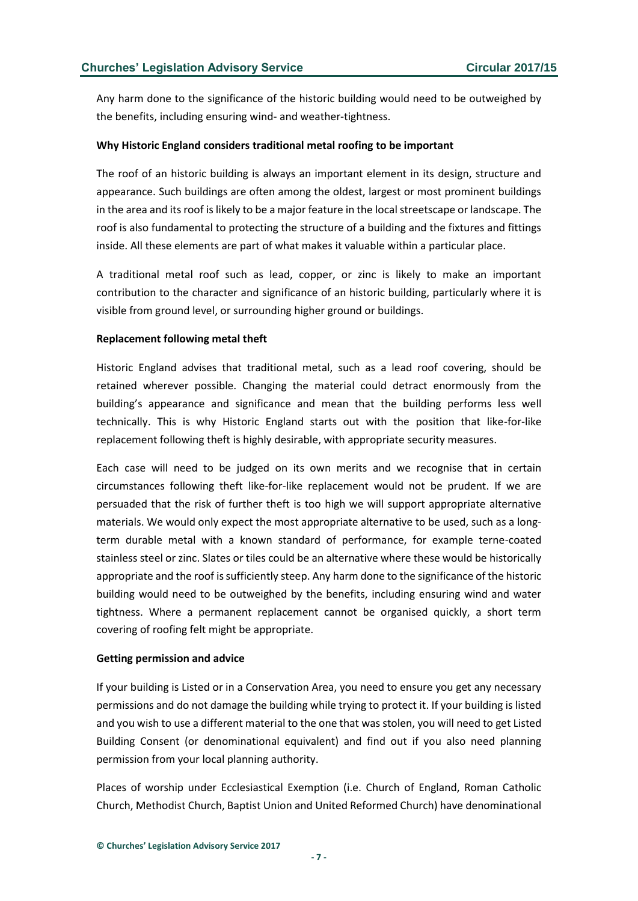Any harm done to the significance of the historic building would need to be outweighed by the benefits, including ensuring wind- and weather-tightness.

#### **Why Historic England considers traditional metal roofing to be important**

The roof of an historic building is always an important element in its design, structure and appearance. Such buildings are often among the oldest, largest or most prominent buildings in the area and its roof is likely to be a major feature in the local streetscape or landscape. The roof is also fundamental to protecting the structure of a building and the fixtures and fittings inside. All these elements are part of what makes it valuable within a particular place.

A traditional metal roof such as lead, copper, or zinc is likely to make an important contribution to the character and significance of an historic building, particularly where it is visible from ground level, or surrounding higher ground or buildings.

#### **Replacement following metal theft**

Historic England advises that traditional metal, such as a lead roof covering, should be retained wherever possible. Changing the material could detract enormously from the building's appearance and significance and mean that the building performs less well technically. This is why Historic England starts out with the position that like-for-like replacement following theft is highly desirable, with appropriate security measures.

Each case will need to be judged on its own merits and we recognise that in certain circumstances following theft like-for-like replacement would not be prudent. If we are persuaded that the risk of further theft is too high we will support appropriate alternative materials. We would only expect the most appropriate alternative to be used, such as a longterm durable metal with a known standard of performance, for example terne-coated stainless steel or zinc. Slates or tiles could be an alternative where these would be historically appropriate and the roof is sufficiently steep. Any harm done to the significance of the historic building would need to be outweighed by the benefits, including ensuring wind and water tightness. Where a permanent replacement cannot be organised quickly, a short term covering of roofing felt might be appropriate.

#### **Getting permission and advice**

If your building is Listed or in a Conservation Area, you need to ensure you get any necessary permissions and do not damage the building while trying to protect it. If your building is listed and you wish to use a different material to the one that was stolen, you will need to get Listed Building Consent (or denominational equivalent) and find out if you also need planning permission from your local planning authority.

Places of worship under Ecclesiastical Exemption (i.e. Church of England, Roman Catholic Church, Methodist Church, Baptist Union and United Reformed Church) have denominational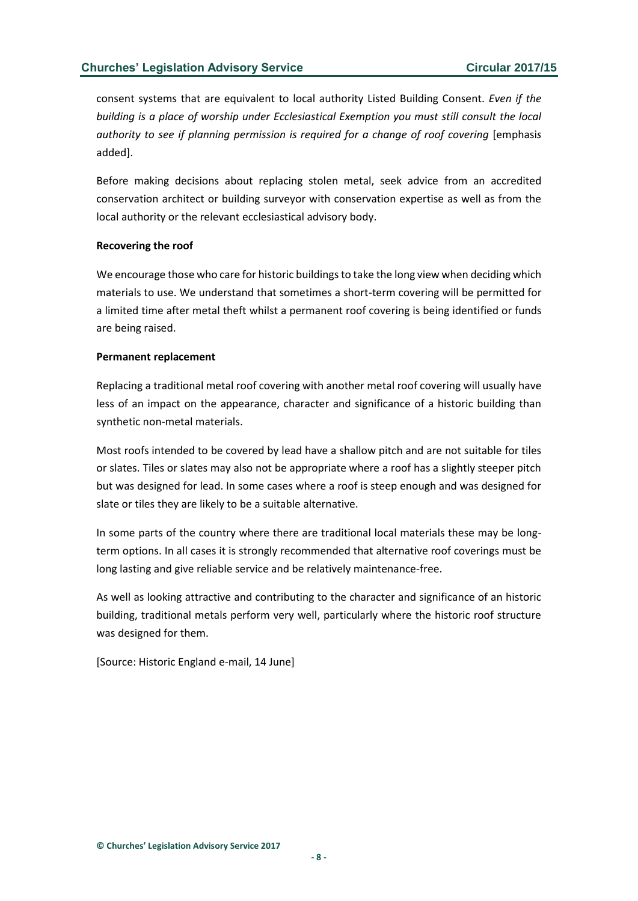consent systems that are equivalent to local authority Listed Building Consent. *Even if the building is a place of worship under Ecclesiastical Exemption you must still consult the local authority to see if planning permission is required for a change of roof covering* [emphasi*s* added].

Before making decisions about replacing stolen metal, seek advice from an accredited conservation architect or building surveyor with conservation expertise as well as from the local authority or the relevant ecclesiastical advisory body.

#### **Recovering the roof**

We encourage those who care for historic buildings to take the long view when deciding which materials to use. We understand that sometimes a short-term covering will be permitted for a limited time after metal theft whilst a permanent roof covering is being identified or funds are being raised.

#### **Permanent replacement**

Replacing a traditional metal roof covering with another metal roof covering will usually have less of an impact on the appearance, character and significance of a historic building than synthetic non-metal materials.

Most roofs intended to be covered by lead have a shallow pitch and are not suitable for tiles or slates. Tiles or slates may also not be appropriate where a roof has a slightly steeper pitch but was designed for lead. In some cases where a roof is steep enough and was designed for slate or tiles they are likely to be a suitable alternative.

In some parts of the country where there are traditional local materials these may be longterm options. In all cases it is strongly recommended that alternative roof coverings must be long lasting and give reliable service and be relatively maintenance-free.

As well as looking attractive and contributing to the character and significance of an historic building, traditional metals perform very well, particularly where the historic roof structure was designed for them.

[Source: Historic England e-mail, 14 June]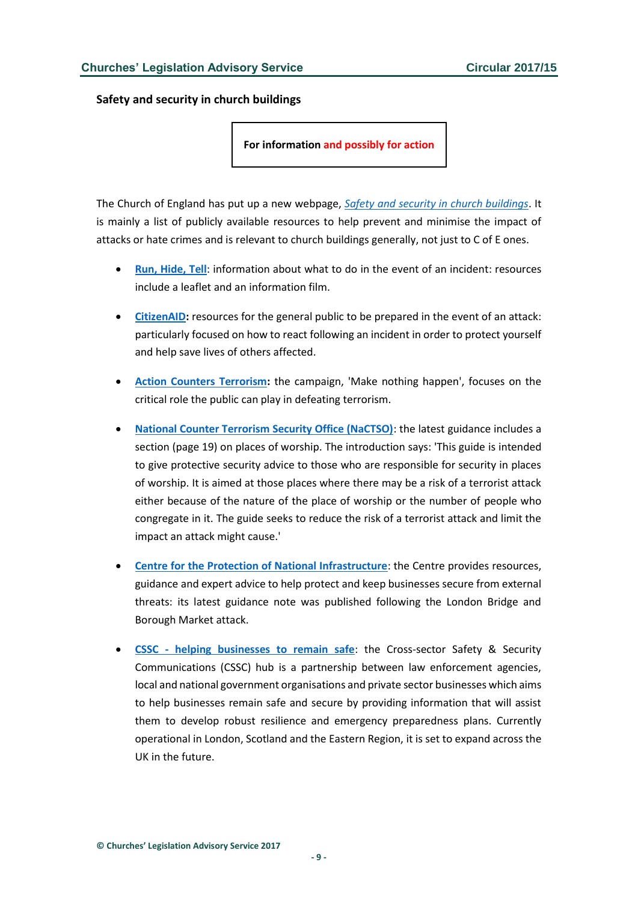<span id="page-8-0"></span>**Safety and security in church buildings**

**For information and possibly for action**

The Church of England has put up a new webpage, *[Safety and security in church buildings](https://www.churchofengland.org/about-us/our-buildings/safety-and-security-in-church-buildings.aspx)*. It is mainly a list of publicly available resources to help prevent and minimise the impact of attacks or hate crimes and is relevant to church buildings generally, not just to C of E ones.

- **[Run, Hide, Tell](https://www.gov.uk/government/publications/stay-safe-film)**: information about what to do in the event of an incident: resources include a leaflet and an information film.
- **[CitizenAID:](http://citizenaid.org/)** resources for the general public to be prepared in the event of an attack: particularly focused on how to react following an incident in order to protect yourself and help save lives of others affected.
- **[Action Counters Terrorism:](https://www.gov.uk/government/news/action-counters-terrorism)** the campaign, 'Make nothing happen', focuses on the critical role the public can play in defeating terrorism.
- **[National Counter Terrorism Security Office \(NaCTSO\)](https://www.gov.uk/government/organisations/national-counter-terrorism-security-office)**: the latest guidance includes a section (page 19) on places of worship. The introduction says: 'This guide is intended to give protective security advice to those who are responsible for security in places of worship. It is aimed at those places where there may be a risk of a terrorist attack either because of the nature of the place of worship or the number of people who congregate in it. The guide seeks to reduce the risk of a terrorist attack and limit the impact an attack might cause.'
- **[Centre for the Protection of National Infrastructure](https://www.cpni.gov.uk/system/files/documents/b4/00/attack-london-bridge-june-2017-website.pdf)**: the Centre provides resources, guidance and expert advice to help protect and keep businesses secure from external threats: its latest guidance note was published following the London Bridge and Borough Market attack.
- **CSSC - [helping businesses to remain safe](http://www.vocal.co.uk/cssc/)**: the Cross-sector Safety & Security Communications (CSSC) hub is a partnership between law enforcement agencies, local and national government organisations and private sector businesses which aims to help businesses remain safe and secure by providing information that will assist them to develop robust resilience and emergency preparedness plans. Currently operational in London, Scotland and the Eastern Region, it is set to expand across the UK in the future.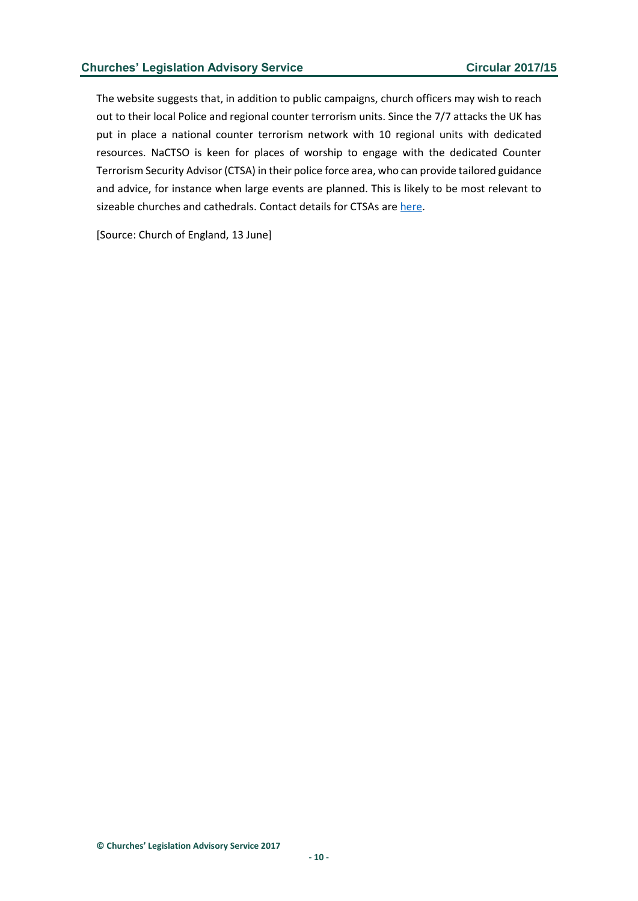The website suggests that, in addition to public campaigns, church officers may wish to reach out to their local Police and regional counter terrorism units. Since the 7/7 attacks the UK has put in place a national counter terrorism network with 10 regional units with dedicated resources. NaCTSO is keen for places of worship to engage with the dedicated Counter Terrorism Security Advisor (CTSA) in their police force area, who can provide tailored guidance and advice, for instance when large events are planned. This is likely to be most relevant to sizeable churches and cathedrals. Contact details for CTSAs ar[e here.](https://www.gov.uk/government/publications/counter-terrorism-support-for-businesses-and-communities/working-with-counter-terrorism-security-advisers#contact-your-ctsa)

[Source: Church of England, 13 June]